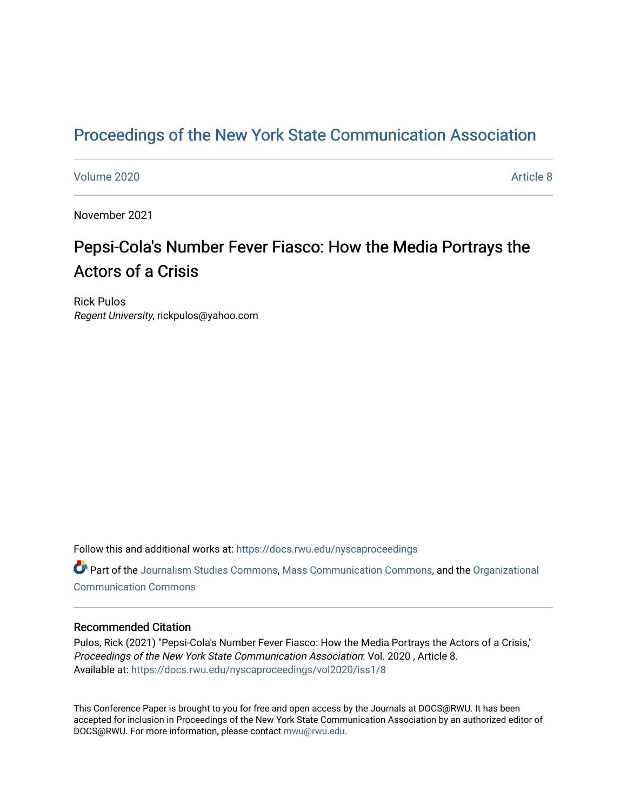## [Proceedings of the New York State Communication Association](https://docs.rwu.edu/nyscaproceedings)

### [Volume 2020](https://docs.rwu.edu/nyscaproceedings/vol2020) **Article 8**

November 2021

# Pepsi-Cola's Number Fever Fiasco: How the Media Portrays the Actors of a Crisis

Rick Pulos Regent University, rickpulos@yahoo.com

Follow this and additional works at: [https://docs.rwu.edu/nyscaproceedings](https://docs.rwu.edu/nyscaproceedings?utm_source=docs.rwu.edu%2Fnyscaproceedings%2Fvol2020%2Fiss1%2F8&utm_medium=PDF&utm_campaign=PDFCoverPages)

Part of the [Journalism Studies Commons](http://network.bepress.com/hgg/discipline/333?utm_source=docs.rwu.edu%2Fnyscaproceedings%2Fvol2020%2Fiss1%2F8&utm_medium=PDF&utm_campaign=PDFCoverPages), [Mass Communication Commons](http://network.bepress.com/hgg/discipline/334?utm_source=docs.rwu.edu%2Fnyscaproceedings%2Fvol2020%2Fiss1%2F8&utm_medium=PDF&utm_campaign=PDFCoverPages), and the [Organizational](http://network.bepress.com/hgg/discipline/335?utm_source=docs.rwu.edu%2Fnyscaproceedings%2Fvol2020%2Fiss1%2F8&utm_medium=PDF&utm_campaign=PDFCoverPages)  [Communication Commons](http://network.bepress.com/hgg/discipline/335?utm_source=docs.rwu.edu%2Fnyscaproceedings%2Fvol2020%2Fiss1%2F8&utm_medium=PDF&utm_campaign=PDFCoverPages)

#### Recommended Citation

Pulos, Rick (2021) "Pepsi-Cola's Number Fever Fiasco: How the Media Portrays the Actors of a Crisis," Proceedings of the New York State Communication Association: Vol. 2020 , Article 8. Available at: [https://docs.rwu.edu/nyscaproceedings/vol2020/iss1/8](https://docs.rwu.edu/nyscaproceedings/vol2020/iss1/8?utm_source=docs.rwu.edu%2Fnyscaproceedings%2Fvol2020%2Fiss1%2F8&utm_medium=PDF&utm_campaign=PDFCoverPages)

This Conference Paper is brought to you for free and open access by the Journals at DOCS@RWU. It has been accepted for inclusion in Proceedings of the New York State Communication Association by an authorized editor of DOCS@RWU. For more information, please contact [mwu@rwu.edu.](mailto:mwu@rwu.edu)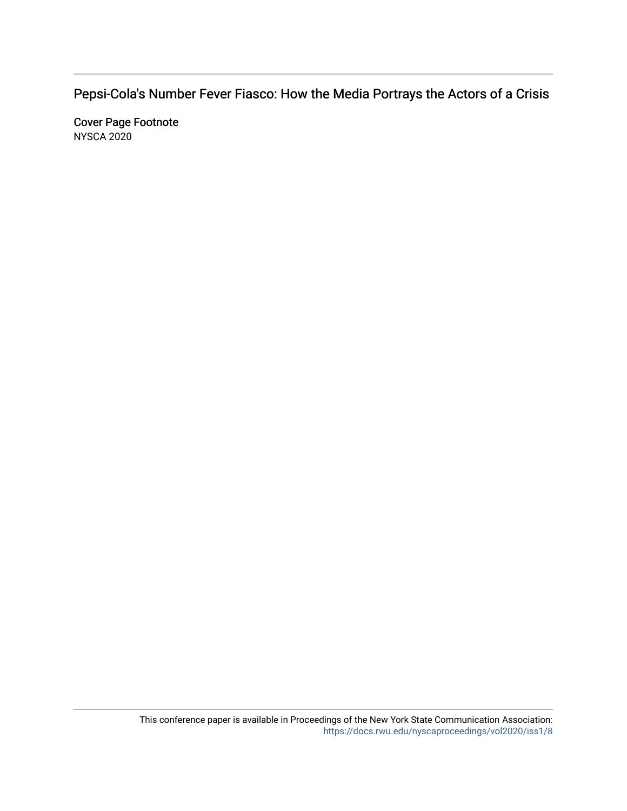Pepsi-Cola's Number F ever Fiasco: How the Media P ortrays the Actors of a Crisis

Cover Page Footnote NYSCA 2020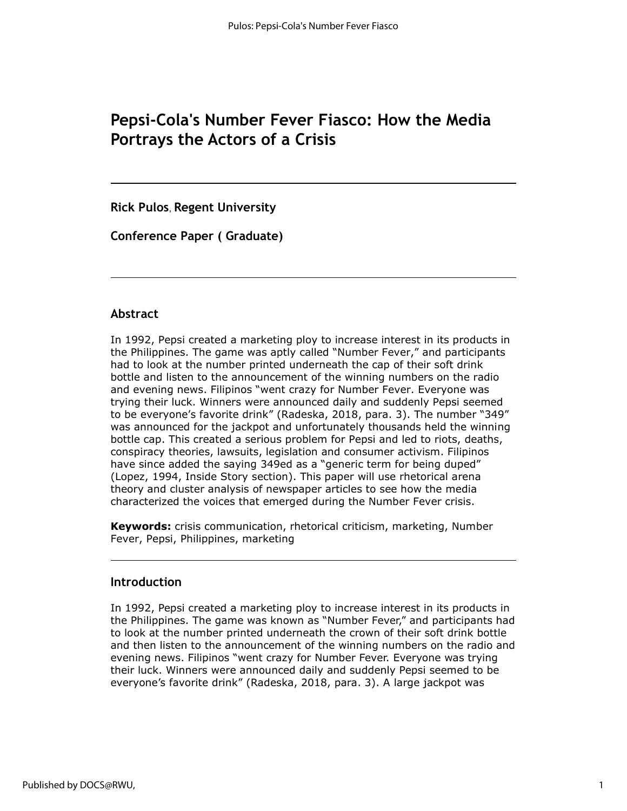## **Pepsi-Cola's Number Fever Fiasco: How the Media Portrays the Actors of a Crisis**

**Rick Pulos**, **Regent University**

**Conference Paper ( Graduate)**

### **Abstract**

In 1992, Pepsi created a marketing ploy to increase interest in its products in the Philippines. The game was aptly called "Number Fever," and participants had to look at the number printed underneath the cap of their soft drink bottle and listen to the announcement of the winning numbers on the radio and evening news. Filipinos "went crazy for Number Fever. Everyone was trying their luck. Winners were announced daily and suddenly Pepsi seemed to be everyone's favorite drink" (Radeska, 2018, para. 3). The number "349" was announced for the jackpot and unfortunately thousands held the winning bottle cap. This created a serious problem for Pepsi and led to riots, deaths, conspiracy theories, lawsuits, legislation and consumer activism. Filipinos have since added the saying 349ed as a "generic term for being duped" (Lopez, 1994, Inside Story section). This paper will use rhetorical arena theory and cluster analysis of newspaper articles to see how the media characterized the voices that emerged during the Number Fever crisis.

**Keywords:** crisis communication, rhetorical criticism, marketing, Number Fever, Pepsi, Philippines, marketing

### **Introduction**

In 1992, Pepsi created a marketing ploy to increase interest in its products in the Philippines. The game was known as "Number Fever," and participants had to look at the number printed underneath the crown of their soft drink bottle and then listen to the announcement of the winning numbers on the radio and evening news. Filipinos "went crazy for Number Fever. Everyone was trying their luck. Winners were announced daily and suddenly Pepsi seemed to be everyone's favorite drink" (Radeska, 2018, para. 3). A large jackpot was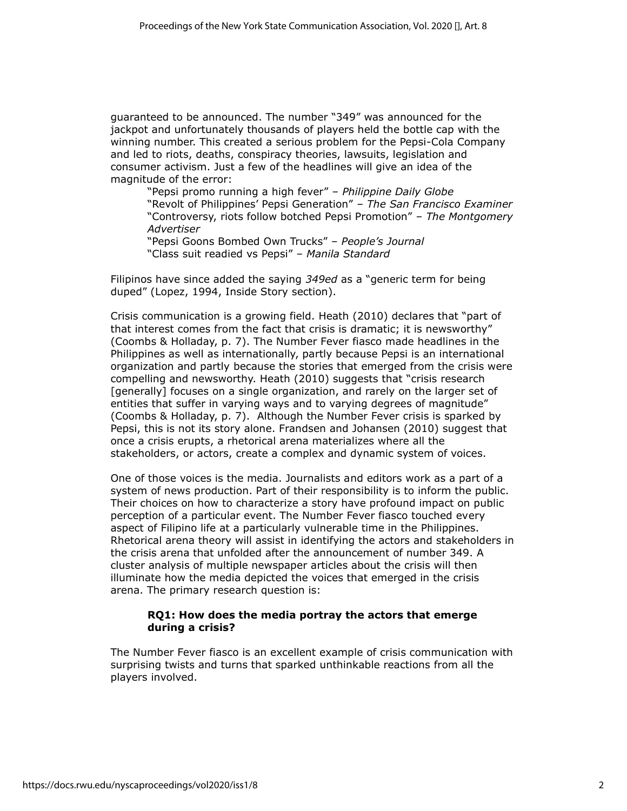guaranteed to be announced. The number "349" was announced for the jackpot and unfortunately thousands of players held the bottle cap with the winning number. This created a serious problem for the Pepsi-Cola Company and led to riots, deaths, conspiracy theories, lawsuits, legislation and consumer activism. Just a few of the headlines will give an idea of the magnitude of the error:

"Pepsi promo running a high fever" – *Philippine Daily Globe* "Revolt of Philippines' Pepsi Generation" – *The San Francisco Examiner* "Controversy, riots follow botched Pepsi Promotion" – *The Montgomery Advertiser*

"Pepsi Goons Bombed Own Trucks" – *People's Journal* "Class suit readied vs Pepsi" – *Manila Standard*

Filipinos have since added the saying *349ed* as a "generic term for being duped" (Lopez, 1994, Inside Story section).

Crisis communication is a growing field. Heath (2010) declares that "part of that interest comes from the fact that crisis is dramatic; it is newsworthy" (Coombs & Holladay, p. 7). The Number Fever fiasco made headlines in the Philippines as well as internationally, partly because Pepsi is an international organization and partly because the stories that emerged from the crisis were compelling and newsworthy. Heath (2010) suggests that "crisis research [generally] focuses on a single organization, and rarely on the larger set of entities that suffer in varying ways and to varying degrees of magnitude" (Coombs & Holladay, p. 7). Although the Number Fever crisis is sparked by Pepsi, this is not its story alone. Frandsen and Johansen (2010) suggest that once a crisis erupts, a rhetorical arena materializes where all the stakeholders, or actors, create a complex and dynamic system of voices.

One of those voices is the media. Journalists and editors work as a part of a system of news production. Part of their responsibility is to inform the public. Their choices on how to characterize a story have profound impact on public perception of a particular event. The Number Fever fiasco touched every aspect of Filipino life at a particularly vulnerable time in the Philippines. Rhetorical arena theory will assist in identifying the actors and stakeholders in the crisis arena that unfolded after the announcement of number 349. A cluster analysis of multiple newspaper articles about the crisis will then illuminate how the media depicted the voices that emerged in the crisis arena. The primary research question is:

#### **RQ1: How does the media portray the actors that emerge during a crisis?**

The Number Fever fiasco is an excellent example of crisis communication with surprising twists and turns that sparked unthinkable reactions from all the players involved.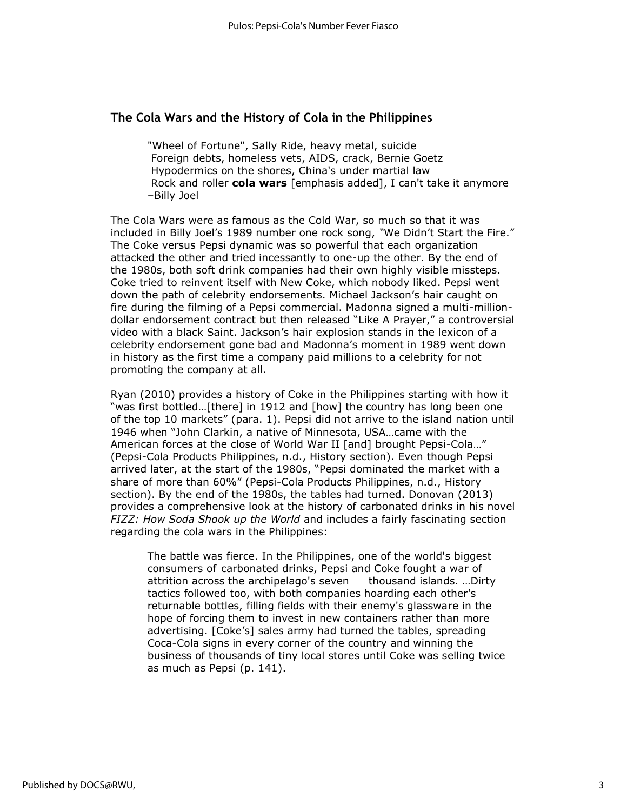### **The Cola Wars and the History of Cola in the Philippines**

"Wheel of Fortune", Sally Ride, heavy metal, suicide Foreign debts, homeless vets, AIDS, crack, Bernie Goetz Hypodermics on the shores, China's under martial law Rock and roller **cola wars** [emphasis added], I can't take it anymore –Billy Joel

The Cola Wars were as famous as the Cold War, so much so that it was included in Billy Joel's 1989 number one rock song, *"*We Didn't Start the Fire." The Coke versus Pepsi dynamic was so powerful that each organization attacked the other and tried incessantly to one-up the other. By the end of the 1980s, both soft drink companies had their own highly visible missteps. Coke tried to reinvent itself with New Coke, which nobody liked. Pepsi went down the path of celebrity endorsements. Michael Jackson's hair caught on fire during the filming of a Pepsi commercial. Madonna signed a multi-milliondollar endorsement contract but then released "Like A Prayer," a controversial video with a black Saint. Jackson's hair explosion stands in the lexicon of a celebrity endorsement gone bad and Madonna's moment in 1989 went down in history as the first time a company paid millions to a celebrity for not promoting the company at all.

Ryan (2010) provides a history of Coke in the Philippines starting with how it "was first bottled…[there] in 1912 and [how] the country has long been one of the top 10 markets" (para. 1). Pepsi did not arrive to the island nation until 1946 when "John Clarkin, a native of Minnesota, USA…came with the American forces at the close of World War II [and] brought Pepsi-Cola..." (Pepsi-Cola Products Philippines, n.d., History section). Even though Pepsi arrived later, at the start of the 1980s, "Pepsi dominated the market with a share of more than 60%" (Pepsi-Cola Products Philippines, n.d., History section). By the end of the 1980s, the tables had turned. Donovan (2013) provides a comprehensive look at the history of carbonated drinks in his novel *FIZZ: How Soda Shook up the World* and includes a fairly fascinating section regarding the cola wars in the Philippines:

The battle was fierce. In the Philippines, one of the world's biggest consumers of carbonated drinks, Pepsi and Coke fought a war of attrition across the archipelago's seven thousand islands. ...Dirty tactics followed too, with both companies hoarding each other's returnable bottles, filling fields with their enemy's glassware in the hope of forcing them to invest in new containers rather than more advertising. [Coke's] sales army had turned the tables, spreading Coca-Cola signs in every corner of the country and winning the business of thousands of tiny local stores until Coke was selling twice as much as Pepsi (p. 141).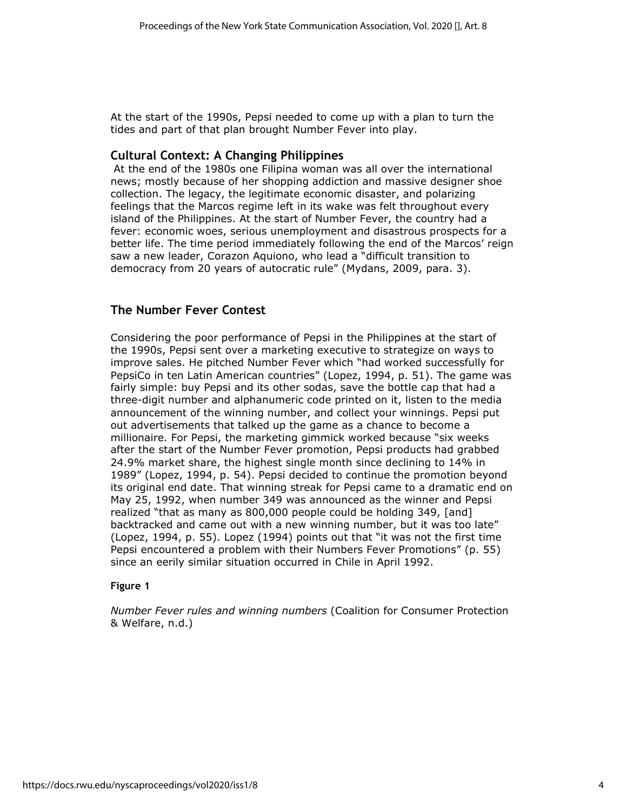At the start of the 1990s, Pepsi needed to come up with a plan to turn the tides and part of that plan brought Number Fever into play.

### **Cultural Context: A Changing Philippines**

At the end of the 1980s one Filipina woman was all over the international news; mostly because of her shopping addiction and massive designer shoe collection. The legacy, the legitimate economic disaster, and polarizing feelings that the Marcos regime left in its wake was felt throughout every island of the Philippines. At the start of Number Fever, the country had a fever: economic woes, serious unemployment and disastrous prospects for a better life. The time period immediately following the end of the Marcos' reign saw a new leader, Corazon Aquiono, who lead a "difficult transition to democracy from 20 years of autocratic rule" (Mydans, 2009, para. 3).

### **The Number Fever Contest**

Considering the poor performance of Pepsi in the Philippines at the start of the 1990s, Pepsi sent over a marketing executive to strategize on ways to improve sales. He pitched Number Fever which "had worked successfully for PepsiCo in ten Latin American countries" (Lopez, 1994, p. 51). The game was fairly simple: buy Pepsi and its other sodas, save the bottle cap that had a three-digit number and alphanumeric code printed on it, listen to the media announcement of the winning number, and collect your winnings. Pepsi put out advertisements that talked up the game as a chance to become a millionaire. For Pepsi, the marketing gimmick worked because "six weeks after the start of the Number Fever promotion, Pepsi products had grabbed 24.9% market share, the highest single month since declining to 14% in 1989" (Lopez, 1994, p. 54). Pepsi decided to continue the promotion beyond its original end date. That winning streak for Pepsi came to a dramatic end on May 25, 1992, when number 349 was announced as the winner and Pepsi realized "that as many as 800,000 people could be holding 349, [and] backtracked and came out with a new winning number, but it was too late" (Lopez, 1994, p. 55). Lopez (1994) points out that "it was not the first time Pepsi encountered a problem with their Numbers Fever Promotions" (p. 55) since an eerily similar situation occurred in Chile in April 1992.

#### **Figure 1**

*Number Fever rules and winning numbers* (Coalition for Consumer Protection & Welfare, n.d.)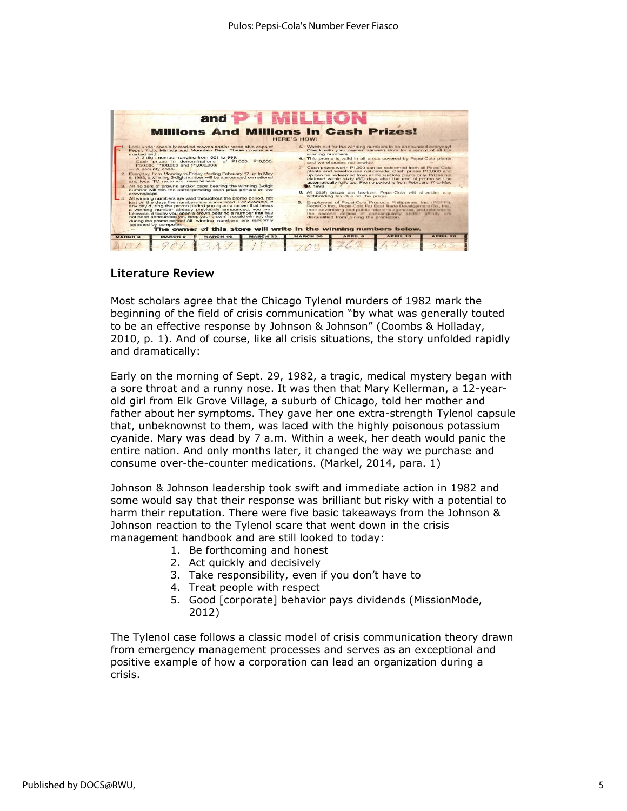

### **Literature Review**

Most scholars agree that the Chicago Tylenol murders of 1982 mark the beginning of the field of crisis communication "by what was generally touted to be an effective response by Johnson & Johnson" (Coombs & Holladay, 2010, p. 1). And of course, like all crisis situations, the story unfolded rapidly and dramatically:

Early on the morning of Sept. 29, 1982, a tragic, medical mystery began with a sore throat and a runny nose. It was then that Mary Kellerman, a 12-yearold girl from Elk Grove Village, a suburb of Chicago, told her mother and father about her symptoms. They gave her one extra-strength Tylenol capsule that, unbeknownst to them, was laced with the highly poisonous potassium cyanide. Mary was dead by 7 a.m. Within a week, her death would panic the entire nation. And only months later, it changed the way we purchase and consume over-the-counter medications. (Markel, 2014, para. 1)

Johnson & Johnson leadership took swift and immediate action in 1982 and some would say that their response was brilliant but risky with a potential to harm their reputation. There were five basic takeaways from the Johnson & Johnson reaction to the Tylenol scare that went down in the crisis management handbook and are still looked to today:

- 1. Be forthcoming and honest
- 2. Act quickly and decisively
- 3. Take responsibility, even if you don't have to
- 4. Treat people with respect
- 5. Good [corporate] behavior pays dividends (MissionMode, 2012)

The Tylenol case follows a classic model of crisis communication theory drawn from emergency management processes and serves as an exceptional and positive example of how a corporation can lead an organization during a crisis.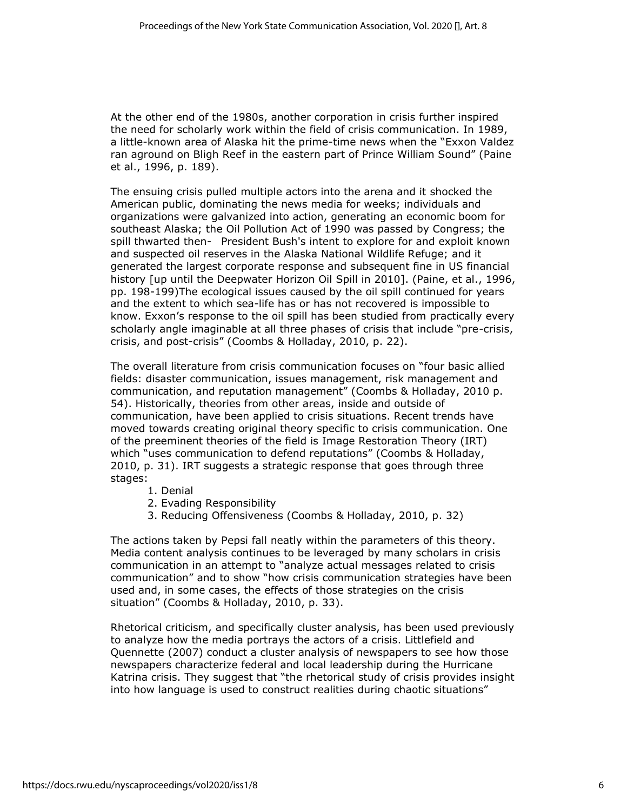At the other end of the 1980s, another corporation in crisis further inspired the need for scholarly work within the field of crisis communication. In 1989, a little-known area of Alaska hit the prime-time news when the "Exxon Valdez ran aground on Bligh Reef in the eastern part of Prince William Sound" (Paine et al., 1996, p. 189).

The ensuing crisis pulled multiple actors into the arena and it shocked the American public, dominating the news media for weeks; individuals and organizations were galvanized into action, generating an economic boom for southeast Alaska; the Oil Pollution Act of 1990 was passed by Congress; the spill thwarted then- President Bush's intent to explore for and exploit known and suspected oil reserves in the Alaska National Wildlife Refuge; and it generated the largest corporate response and subsequent fine in US financial history [up until the Deepwater Horizon Oil Spill in 2010]. (Paine, et al., 1996, pp. 198-199)The ecological issues caused by the oil spill continued for years and the extent to which sea-life has or has not recovered is impossible to know. Exxon's response to the oil spill has been studied from practically every scholarly angle imaginable at all three phases of crisis that include "pre-crisis, crisis, and post-crisis" (Coombs & Holladay, 2010, p. 22).

The overall literature from crisis communication focuses on "four basic allied fields: disaster communication, issues management, risk management and communication, and reputation management" (Coombs & Holladay, 2010 p. 54). Historically, theories from other areas, inside and outside of communication, have been applied to crisis situations. Recent trends have moved towards creating original theory specific to crisis communication. One of the preeminent theories of the field is Image Restoration Theory (IRT) which "uses communication to defend reputations" (Coombs & Holladay, 2010, p. 31). IRT suggests a strategic response that goes through three stages:

- 1. Denial
- 2. Evading Responsibility
- 3. Reducing Offensiveness (Coombs & Holladay, 2010, p. 32)

The actions taken by Pepsi fall neatly within the parameters of this theory. Media content analysis continues to be leveraged by many scholars in crisis communication in an attempt to "analyze actual messages related to crisis communication" and to show "how crisis communication strategies have been used and, in some cases, the effects of those strategies on the crisis situation" (Coombs & Holladay, 2010, p. 33).

Rhetorical criticism, and specifically cluster analysis, has been used previously to analyze how the media portrays the actors of a crisis. Littlefield and Quennette (2007) conduct a cluster analysis of newspapers to see how those newspapers characterize federal and local leadership during the Hurricane Katrina crisis. They suggest that "the rhetorical study of crisis provides insight into how language is used to construct realities during chaotic situations"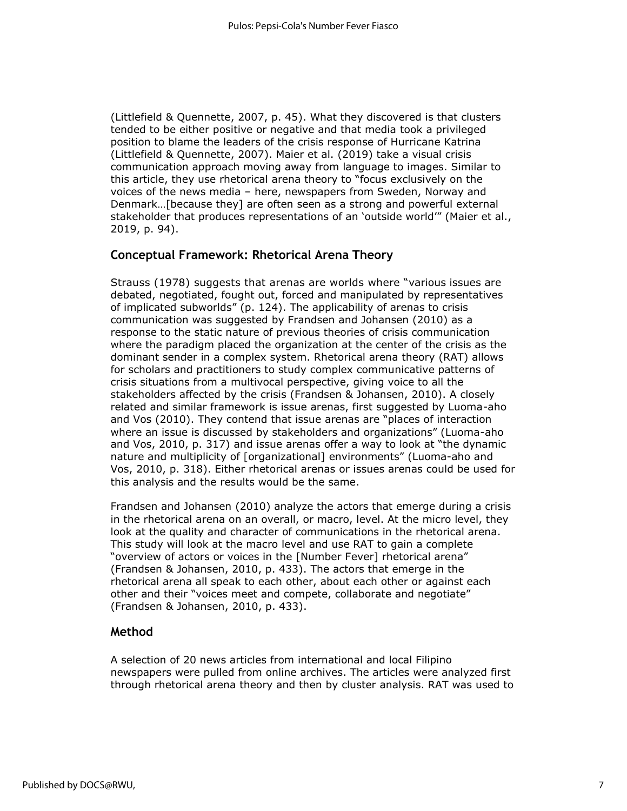(Littlefield & Quennette, 2007, p. 45). What they discovered is that clusters tended to be either positive or negative and that media took a privileged position to blame the leaders of the crisis response of Hurricane Katrina (Littlefield & Quennette, 2007). Maier et al. (2019) take a visual crisis communication approach moving away from language to images. Similar to this article, they use rhetorical arena theory to "focus exclusively on the voices of the news media – here, newspapers from Sweden, Norway and Denmark…[because they] are often seen as a strong and powerful external stakeholder that produces representations of an 'outside world'" (Maier et al., 2019, p. 94).

### **Conceptual Framework: Rhetorical Arena Theory**

Strauss (1978) suggests that arenas are worlds where "various issues are debated, negotiated, fought out, forced and manipulated by representatives of implicated subworlds" (p. 124). The applicability of arenas to crisis communication was suggested by Frandsen and Johansen (2010) as a response to the static nature of previous theories of crisis communication where the paradigm placed the organization at the center of the crisis as the dominant sender in a complex system. Rhetorical arena theory (RAT) allows for scholars and practitioners to study complex communicative patterns of crisis situations from a multivocal perspective, giving voice to all the stakeholders affected by the crisis (Frandsen & Johansen, 2010). A closely related and similar framework is issue arenas, first suggested by Luoma-aho and Vos (2010). They contend that issue arenas are "places of interaction where an issue is discussed by stakeholders and organizations" (Luoma-aho and Vos, 2010, p. 317) and issue arenas offer a way to look at "the dynamic nature and multiplicity of [organizational] environments" (Luoma-aho and Vos, 2010, p. 318). Either rhetorical arenas or issues arenas could be used for this analysis and the results would be the same.

Frandsen and Johansen (2010) analyze the actors that emerge during a crisis in the rhetorical arena on an overall, or macro, level. At the micro level, they look at the quality and character of communications in the rhetorical arena. This study will look at the macro level and use RAT to gain a complete "overview of actors or voices in the [Number Fever] rhetorical arena" (Frandsen & Johansen, 2010, p. 433). The actors that emerge in the rhetorical arena all speak to each other, about each other or against each other and their "voices meet and compete, collaborate and negotiate" (Frandsen & Johansen, 2010, p. 433).

### **Method**

A selection of 20 news articles from international and local Filipino newspapers were pulled from online archives. The articles were analyzed first through rhetorical arena theory and then by cluster analysis. RAT was used to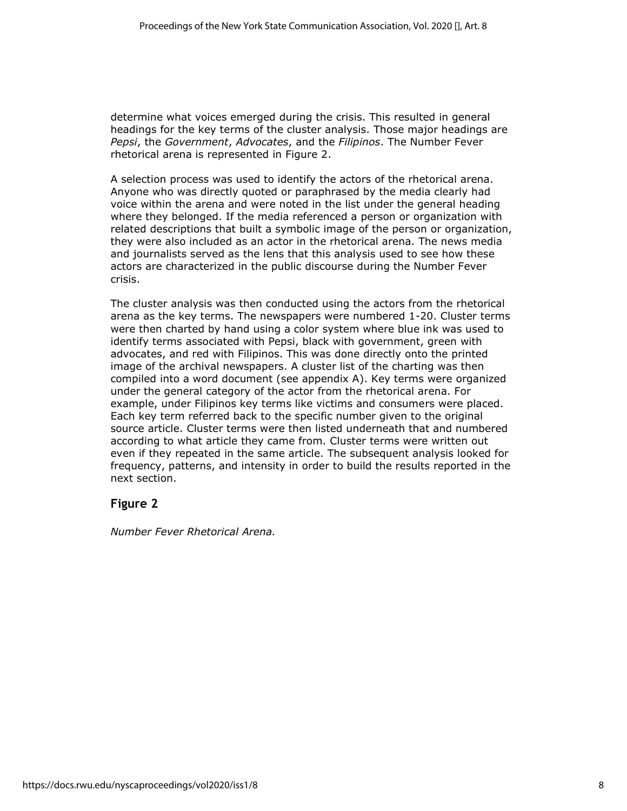determine what voices emerged during the crisis. This resulted in general headings for the key terms of the cluster analysis. Those major headings are *Pepsi*, the *Government*, *Advocates*, and the *Filipinos*. The Number Fever rhetorical arena is represented in Figure 2.

A selection process was used to identify the actors of the rhetorical arena. Anyone who was directly quoted or paraphrased by the media clearly had voice within the arena and were noted in the list under the general heading where they belonged. If the media referenced a person or organization with related descriptions that built a symbolic image of the person or organization, they were also included as an actor in the rhetorical arena. The news media and journalists served as the lens that this analysis used to see how these actors are characterized in the public discourse during the Number Fever crisis.

The cluster analysis was then conducted using the actors from the rhetorical arena as the key terms. The newspapers were numbered 1-20. Cluster terms were then charted by hand using a color system where blue ink was used to identify terms associated with Pepsi, black with government, green with advocates, and red with Filipinos. This was done directly onto the printed image of the archival newspapers. A cluster list of the charting was then compiled into a word document (see appendix A). Key terms were organized under the general category of the actor from the rhetorical arena. For example, under Filipinos key terms like victims and consumers were placed. Each key term referred back to the specific number given to the original source article. Cluster terms were then listed underneath that and numbered according to what article they came from. Cluster terms were written out even if they repeated in the same article. The subsequent analysis looked for frequency, patterns, and intensity in order to build the results reported in the next section.

### **Figure 2**

*Number Fever Rhetorical Arena.*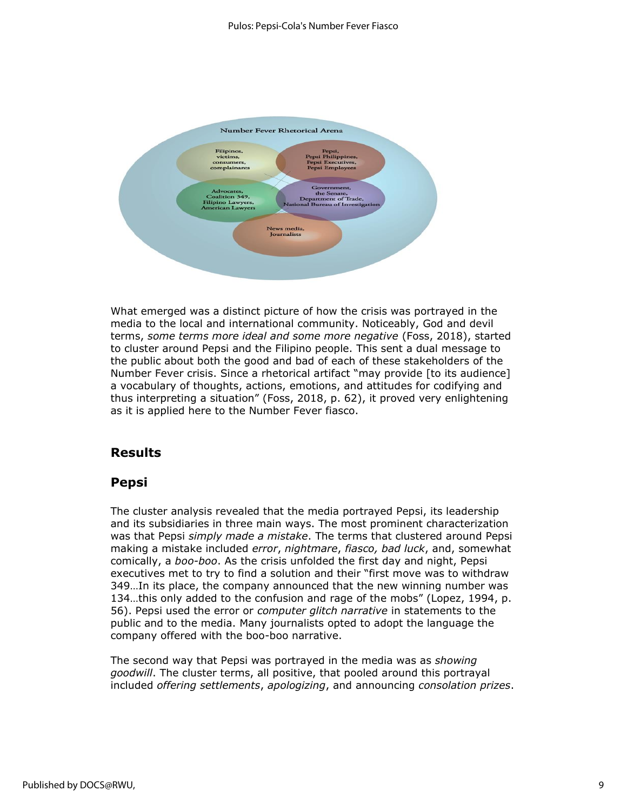

What emerged was a distinct picture of how the crisis was portrayed in the media to the local and international community. Noticeably, God and devil terms, *some terms more ideal and some more negative* (Foss, 2018), started to cluster around Pepsi and the Filipino people. This sent a dual message to the public about both the good and bad of each of these stakeholders of the Number Fever crisis. Since a rhetorical artifact "may provide [to its audience] a vocabulary of thoughts, actions, emotions, and attitudes for codifying and thus interpreting a situation" (Foss, 2018, p. 62), it proved very enlightening as it is applied here to the Number Fever fiasco.

### **Results**

### **Pepsi**

The cluster analysis revealed that the media portrayed Pepsi, its leadership and its subsidiaries in three main ways. The most prominent characterization was that Pepsi *simply made a mistake*. The terms that clustered around Pepsi making a mistake included *error*, *nightmare*, *fiasco, bad luck*, and, somewhat comically, a *boo-boo*. As the crisis unfolded the first day and night, Pepsi executives met to try to find a solution and their "first move was to withdraw 349…In its place, the company announced that the new winning number was 134…this only added to the confusion and rage of the mobs" (Lopez, 1994, p. 56). Pepsi used the error or *computer glitch narrative* in statements to the public and to the media. Many journalists opted to adopt the language the company offered with the boo-boo narrative.

The second way that Pepsi was portrayed in the media was as *showing goodwill*. The cluster terms, all positive, that pooled around this portrayal included *offering settlements*, *apologizing*, and announcing *consolation prizes*.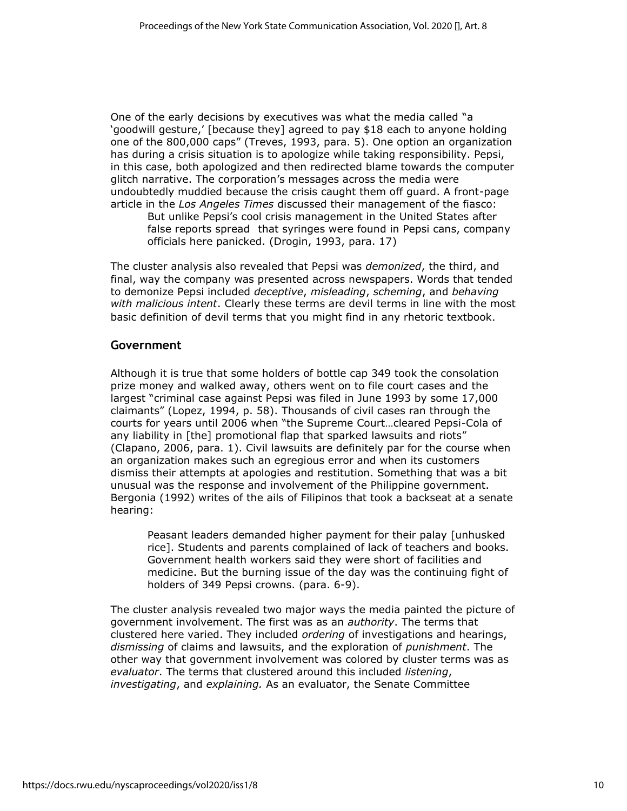One of the early decisions by executives was what the media called "a 'goodwill gesture,' [because they] agreed to pay \$18 each to anyone holding one of the 800,000 caps" (Treves, 1993, para. 5). One option an organization has during a crisis situation is to apologize while taking responsibility. Pepsi, in this case, both apologized and then redirected blame towards the computer glitch narrative. The corporation's messages across the media were undoubtedly muddied because the crisis caught them off guard. A front-page article in the *Los Angeles Times* discussed their management of the fiasco:

But unlike Pepsi's cool crisis management in the United States after false reports spread that syringes were found in Pepsi cans, company officials here panicked. (Drogin, 1993, para. 17)

The cluster analysis also revealed that Pepsi was *demonized*, the third, and final, way the company was presented across newspapers. Words that tended to demonize Pepsi included *deceptive*, *misleading*, *scheming*, and *behaving with malicious intent*. Clearly these terms are devil terms in line with the most basic definition of devil terms that you might find in any rhetoric textbook.

### **Government**

Although it is true that some holders of bottle cap 349 took the consolation prize money and walked away, others went on to file court cases and the largest "criminal case against Pepsi was filed in June 1993 by some 17,000 claimants" (Lopez, 1994, p. 58). Thousands of civil cases ran through the courts for years until 2006 when "the Supreme Court…cleared Pepsi-Cola of any liability in [the] promotional flap that sparked lawsuits and riots" (Clapano, 2006, para. 1). Civil lawsuits are definitely par for the course when an organization makes such an egregious error and when its customers dismiss their attempts at apologies and restitution. Something that was a bit unusual was the response and involvement of the Philippine government. Bergonia (1992) writes of the ails of Filipinos that took a backseat at a senate hearing:

Peasant leaders demanded higher payment for their palay [unhusked rice]. Students and parents complained of lack of teachers and books. Government health workers said they were short of facilities and medicine. But the burning issue of the day was the continuing fight of holders of 349 Pepsi crowns. (para. 6-9).

The cluster analysis revealed two major ways the media painted the picture of government involvement. The first was as an *authority*. The terms that clustered here varied. They included *ordering* of investigations and hearings, *dismissing* of claims and lawsuits, and the exploration of *punishment*. The other way that government involvement was colored by cluster terms was as *evaluator*. The terms that clustered around this included *listening*, *investigating*, and *explaining.* As an evaluator, the Senate Committee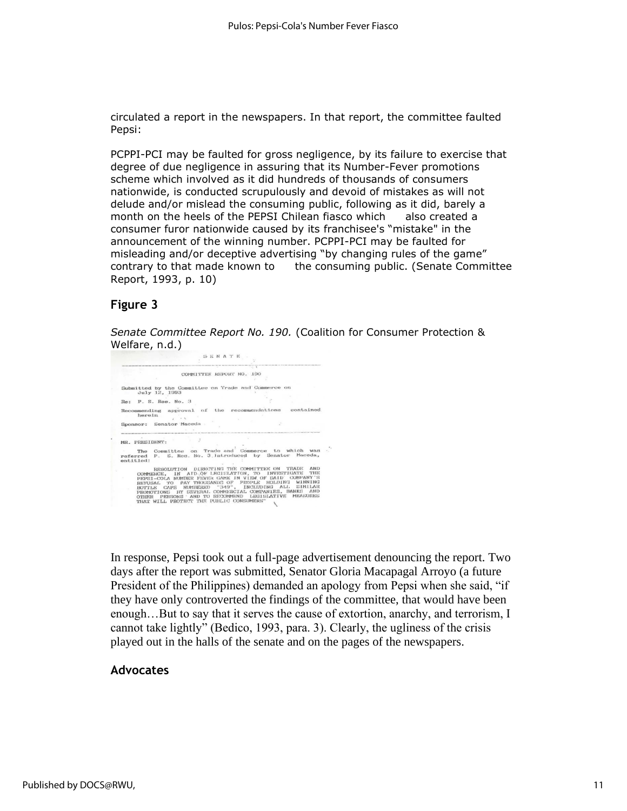circulated a report in the newspapers. In that report, the committee faulted Pepsi:

PCPPI-PCI may be faulted for gross negligence, by its failure to exercise that degree of due negligence in assuring that its Number-Fever promotions scheme which involved as it did hundreds of thousands of consumers nationwide, is conducted scrupulously and devoid of mistakes as will not delude and/or mislead the consuming public, following as it did, barely a month on the heels of the PEPSI Chilean fiasco which also created a consumer furor nationwide caused by its franchisee's "mistake" in the announcement of the winning number. PCPPI-PCI may be faulted for misleading and/or deceptive advertising "by changing rules of the game" contrary to that made known to the consuming public. (Senate Committee Report, 1993, p. 10)

### **Figure 3**

*Senate Committee Report No. 190.* (Coalition for Consumer Protection & Welfare, n.d.)

SENATE COMMITTEE REPORT NO. 190 Submitted by the Committee on Trade and Commerce on July 12, 1993  $Re: P. S. Rees. No. 3$ Recommending approval of the recommendations contained<br>herein herein<br>Sponsor: Senator Maceda  $\mathcal{L}^{\mathcal{G}}$ MR. PRESIDENT: FR. PRESIDENT:<br>The Committee on Trade and Commerce to which was<br>referred P. S. Res. No. 3.1ntroduced by Senator Maceda,<br>entitled: LIGG: RESOLUTION DIRECTING THE COMMITTEE ON TRADE AND COMMISSION. IN ATD.OF LEGISLATION, TO INVESTIGATE THE COLOR NUMBER PENCIL AND COMMISSION THE REPORT OF SAMPLE CAPS WARRING OF PEOPLE DRIVING DALL. SIMILAR BOTTLES CAPS

In response, Pepsi took out a full-page advertisement denouncing the report. Two days after the report was submitted, Senator Gloria Macapagal Arroyo (a future President of the Philippines) demanded an apology from Pepsi when she said, "if they have only controverted the findings of the committee, that would have been enough…But to say that it serves the cause of extortion, anarchy, and terrorism, I cannot take lightly" (Bedico, 1993, para. 3). Clearly, the ugliness of the crisis played out in the halls of the senate and on the pages of the newspapers.

### **Advocates**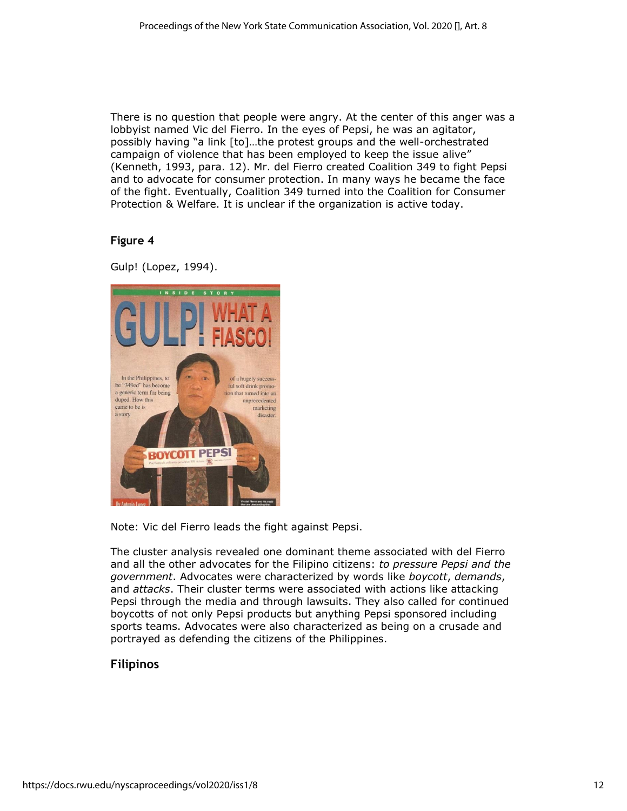There is no question that people were angry. At the center of this anger was a lobbyist named Vic del Fierro. In the eyes of Pepsi, he was an agitator, possibly having "a link [to]…the protest groups and the well-orchestrated campaign of violence that has been employed to keep the issue alive" (Kenneth, 1993, para. 12). Mr. del Fierro created Coalition 349 to fight Pepsi and to advocate for consumer protection. In many ways he became the face of the fight. Eventually, Coalition 349 turned into the Coalition for Consumer Protection & Welfare. It is unclear if the organization is active today.

### **Figure 4**

Gulp! (Lopez, 1994).



Note: Vic del Fierro leads the fight against Pepsi.

The cluster analysis revealed one dominant theme associated with del Fierro and all the other advocates for the Filipino citizens: *to pressure Pepsi and the government*. Advocates were characterized by words like *boycott*, *demands*, and *attacks*. Their cluster terms were associated with actions like attacking Pepsi through the media and through lawsuits. They also called for continued boycotts of not only Pepsi products but anything Pepsi sponsored including sports teams. Advocates were also characterized as being on a crusade and portrayed as defending the citizens of the Philippines.

### **Filipinos**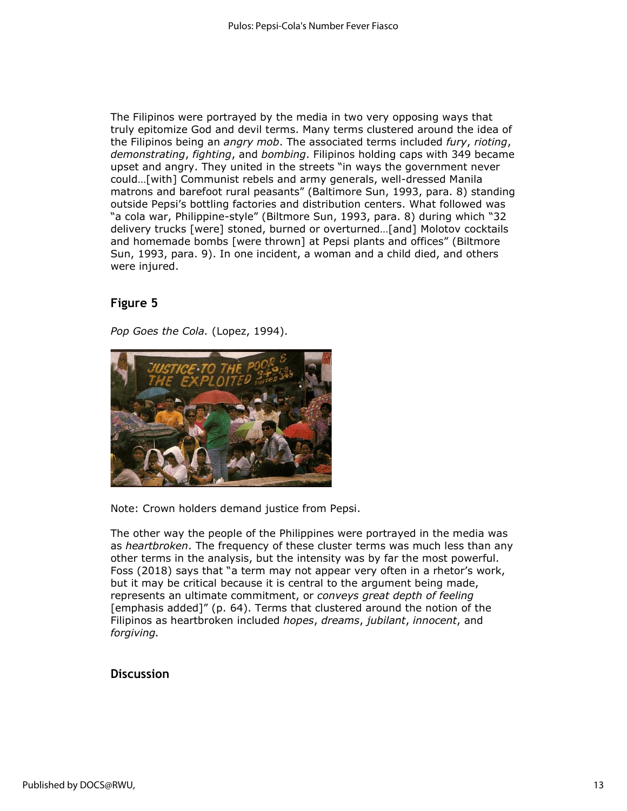The Filipinos were portrayed by the media in two very opposing ways that truly epitomize God and devil terms. Many terms clustered around the idea of the Filipinos being an *angry mob*. The associated terms included *fury*, *rioting*, *demonstrating*, *fighting*, and *bombing*. Filipinos holding caps with 349 became upset and angry. They united in the streets "in ways the government never could…[with] Communist rebels and army generals, well-dressed Manila matrons and barefoot rural peasants" (Baltimore Sun, 1993, para. 8) standing outside Pepsi's bottling factories and distribution centers. What followed was "a cola war, Philippine-style" (Biltmore Sun, 1993, para. 8) during which "32 delivery trucks [were] stoned, burned or overturned…[and] Molotov cocktails and homemade bombs [were thrown] at Pepsi plants and offices" (Biltmore Sun, 1993, para. 9). In one incident, a woman and a child died, and others were injured.

### **Figure 5**

*Pop Goes the Cola.* (Lopez, 1994).



Note: Crown holders demand justice from Pepsi.

The other way the people of the Philippines were portrayed in the media was as *heartbroken*. The frequency of these cluster terms was much less than any other terms in the analysis, but the intensity was by far the most powerful. Foss (2018) says that "a term may not appear very often in a rhetor's work, but it may be critical because it is central to the argument being made, represents an ultimate commitment, or *conveys great depth of feeling* [emphasis added]" (p. 64). Terms that clustered around the notion of the Filipinos as heartbroken included *hopes*, *dreams*, *jubilant*, *innocent*, and *forgiving.*

### **Discussion**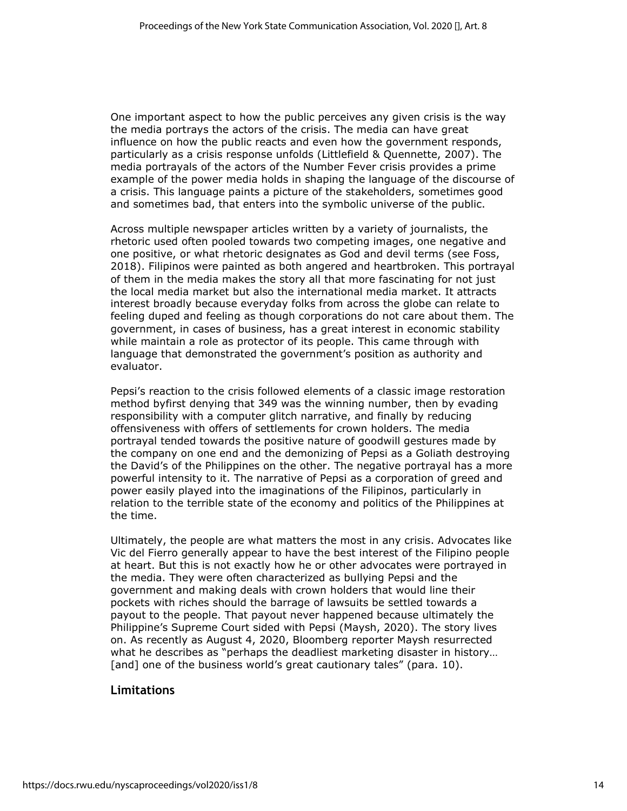One important aspect to how the public perceives any given crisis is the way the media portrays the actors of the crisis. The media can have great influence on how the public reacts and even how the government responds, particularly as a crisis response unfolds (Littlefield & Quennette, 2007). The media portrayals of the actors of the Number Fever crisis provides a prime example of the power media holds in shaping the language of the discourse of a crisis. This language paints a picture of the stakeholders, sometimes good and sometimes bad, that enters into the symbolic universe of the public.

Across multiple newspaper articles written by a variety of journalists, the rhetoric used often pooled towards two competing images, one negative and one positive, or what rhetoric designates as God and devil terms (see Foss, 2018). Filipinos were painted as both angered and heartbroken. This portrayal of them in the media makes the story all that more fascinating for not just the local media market but also the international media market. It attracts interest broadly because everyday folks from across the globe can relate to feeling duped and feeling as though corporations do not care about them. The government, in cases of business, has a great interest in economic stability while maintain a role as protector of its people. This came through with language that demonstrated the government's position as authority and evaluator.

Pepsi's reaction to the crisis followed elements of a classic image restoration method byfirst denying that 349 was the winning number, then by evading responsibility with a computer glitch narrative, and finally by reducing offensiveness with offers of settlements for crown holders. The media portrayal tended towards the positive nature of goodwill gestures made by the company on one end and the demonizing of Pepsi as a Goliath destroying the David's of the Philippines on the other. The negative portrayal has a more powerful intensity to it. The narrative of Pepsi as a corporation of greed and power easily played into the imaginations of the Filipinos, particularly in relation to the terrible state of the economy and politics of the Philippines at the time.

Ultimately, the people are what matters the most in any crisis. Advocates like Vic del Fierro generally appear to have the best interest of the Filipino people at heart. But this is not exactly how he or other advocates were portrayed in the media. They were often characterized as bullying Pepsi and the government and making deals with crown holders that would line their pockets with riches should the barrage of lawsuits be settled towards a payout to the people. That payout never happened because ultimately the Philippine's Supreme Court sided with Pepsi (Maysh, 2020). The story lives on. As recently as August 4, 2020, Bloomberg reporter Maysh resurrected what he describes as "perhaps the deadliest marketing disaster in history… [and] one of the business world's great cautionary tales" (para. 10).

### **Limitations**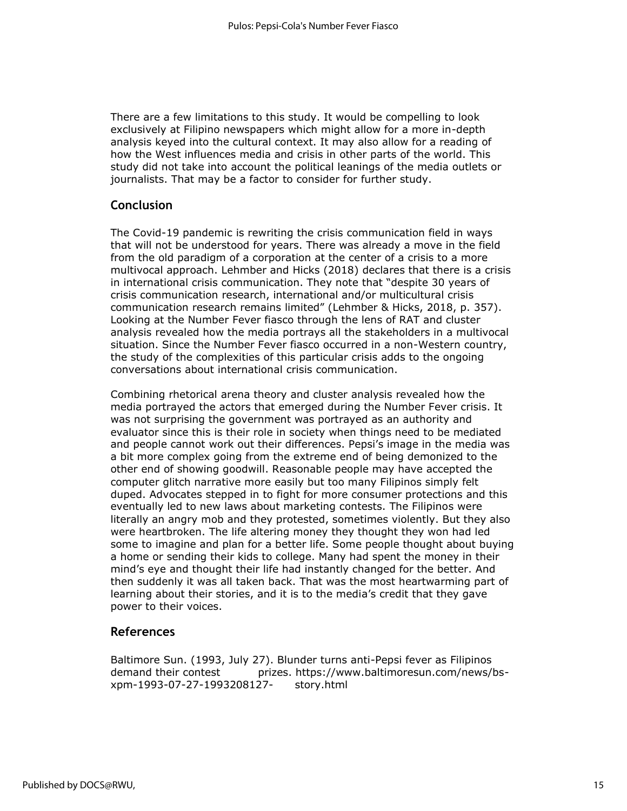There are a few limitations to this study. It would be compelling to look exclusively at Filipino newspapers which might allow for a more in-depth analysis keyed into the cultural context. It may also allow for a reading of how the West influences media and crisis in other parts of the world. This study did not take into account the political leanings of the media outlets or journalists. That may be a factor to consider for further study.

### **Conclusion**

The Covid-19 pandemic is rewriting the crisis communication field in ways that will not be understood for years. There was already a move in the field from the old paradigm of a corporation at the center of a crisis to a more multivocal approach. Lehmber and Hicks (2018) declares that there is a crisis in international crisis communication. They note that "despite 30 years of crisis communication research, international and/or multicultural crisis communication research remains limited" (Lehmber & Hicks, 2018, p. 357). Looking at the Number Fever fiasco through the lens of RAT and cluster analysis revealed how the media portrays all the stakeholders in a multivocal situation. Since the Number Fever fiasco occurred in a non-Western country, the study of the complexities of this particular crisis adds to the ongoing conversations about international crisis communication.

Combining rhetorical arena theory and cluster analysis revealed how the media portrayed the actors that emerged during the Number Fever crisis. It was not surprising the government was portrayed as an authority and evaluator since this is their role in society when things need to be mediated and people cannot work out their differences. Pepsi's image in the media was a bit more complex going from the extreme end of being demonized to the other end of showing goodwill. Reasonable people may have accepted the computer glitch narrative more easily but too many Filipinos simply felt duped. Advocates stepped in to fight for more consumer protections and this eventually led to new laws about marketing contests. The Filipinos were literally an angry mob and they protested, sometimes violently. But they also were heartbroken. The life altering money they thought they won had led some to imagine and plan for a better life. Some people thought about buying a home or sending their kids to college. Many had spent the money in their mind's eye and thought their life had instantly changed for the better. And then suddenly it was all taken back. That was the most heartwarming part of learning about their stories, and it is to the media's credit that they gave power to their voices.

### **References**

Baltimore Sun. (1993, July 27). Blunder turns anti-Pepsi fever as Filipinos demand their contest prizes. https://www.baltimoresun.com/news/bsxpm-1993-07-27-1993208127- story.html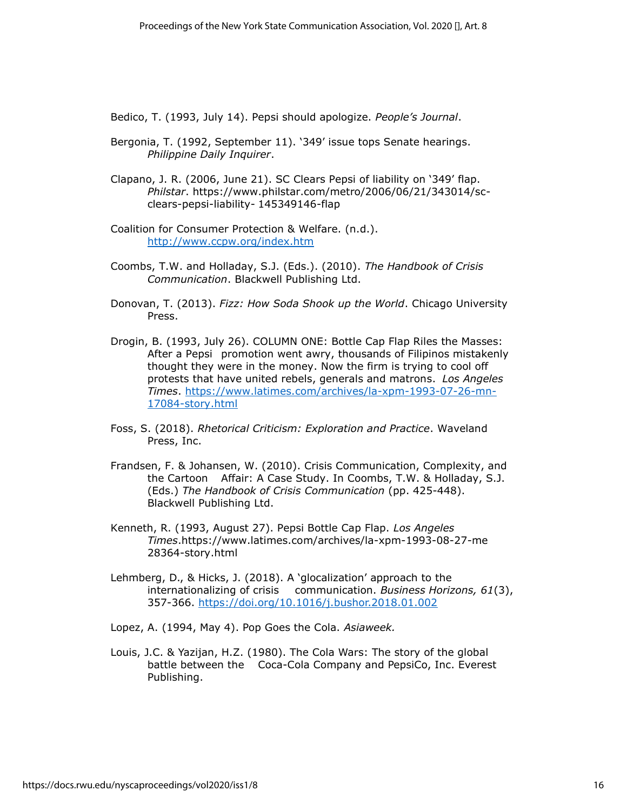Bedico, T. (1993, July 14). Pepsi should apologize. *People's Journal*.

- Bergonia, T. (1992, September 11). '349' issue tops Senate hearings. *Philippine Daily Inquirer*.
- Clapano, J. R. (2006, June 21). SC Clears Pepsi of liability on '349' flap. *Philstar*. https://www.philstar.com/metro/2006/06/21/343014/scclears-pepsi-liability- 145349146-flap
- Coalition for Consumer Protection & Welfare. (n.d.). <http://www.ccpw.org/index.htm>
- Coombs, T.W. and Holladay, S.J. (Eds.). (2010). *The Handbook of Crisis Communication*. Blackwell Publishing Ltd.
- Donovan, T. (2013). *Fizz: How Soda Shook up the World*. Chicago University Press.
- Drogin, B. (1993, July 26). COLUMN ONE: Bottle Cap Flap Riles the Masses: After a Pepsi promotion went awry, thousands of Filipinos mistakenly thought they were in the money. Now the firm is trying to cool off protests that have united rebels, generals and matrons. *Los Angeles Times*. [https://www.latimes.com/archives/la-xpm-1993-07-26-mn-](https://www.latimes.com/archives/la-xpm-1993-07-26-mn-17084-story.html)[17084-story.html](https://www.latimes.com/archives/la-xpm-1993-07-26-mn-17084-story.html)
- Foss, S. (2018). *Rhetorical Criticism: Exploration and Practice*. Waveland Press, Inc.
- Frandsen, F. & Johansen, W. (2010). Crisis Communication, Complexity, and the Cartoon Affair: A Case Study. In Coombs, T.W. & Holladay, S.J. (Eds.) *The Handbook of Crisis Communication* (pp. 425-448). Blackwell Publishing Ltd.
- Kenneth, R. (1993, August 27). Pepsi Bottle Cap Flap. *Los Angeles Times*.https://www.latimes.com/archives/la-xpm-1993-08-27-me 28364-story.html
- Lehmberg, D., & Hicks, J. (2018). A 'glocalization' approach to the internationalizing of crisis communication. *Business Horizons, 61*(3), 357-366.<https://doi.org/10.1016/j.bushor.2018.01.002>

Lopez, A. (1994, May 4). Pop Goes the Cola. *Asiaweek.*

Louis, J.C. & Yazijan, H.Z. (1980). The Cola Wars: The story of the global battle between the Coca-Cola Company and PepsiCo, Inc. Everest Publishing.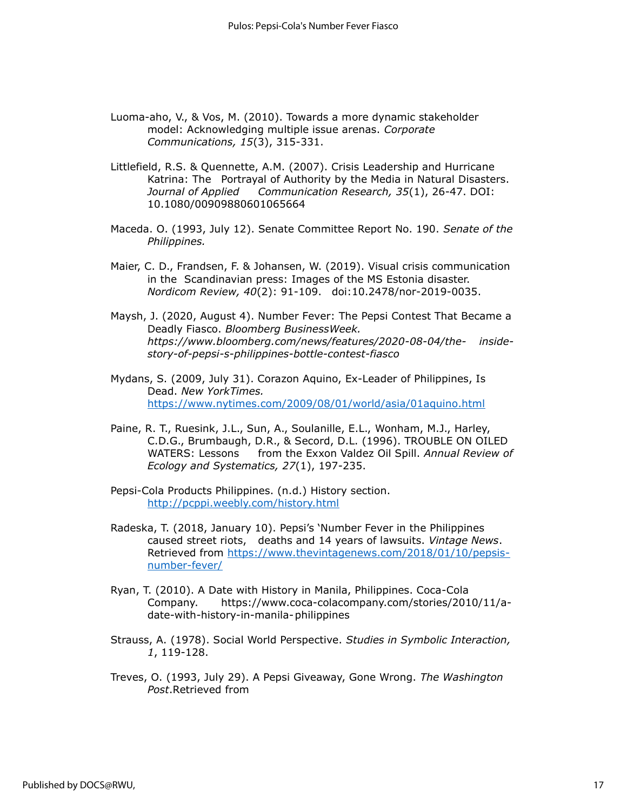- Luoma-aho, V., & Vos, M. (2010). Towards a more dynamic stakeholder model: Acknowledging multiple issue arenas. *Corporate Communications, 15*(3), 315-331.
- Littlefield, R.S. & Quennette, A.M. (2007). Crisis Leadership and Hurricane Katrina: The Portrayal of Authority by the Media in Natural Disasters. *Journal of Applied Communication Research, 35*(1), 26-47. DOI: 10.1080/00909880601065664
- Maceda. O. (1993, July 12). Senate Committee Report No. 190. *Senate of the Philippines.*
- Maier, C. D., Frandsen, F. & Johansen, W. (2019). Visual crisis communication in the Scandinavian press: Images of the MS Estonia disaster. *Nordicom Review, 40*(2): 91-109. doi:10.2478/nor-2019-0035.
- Maysh, J. (2020, August 4). Number Fever: The Pepsi Contest That Became a Deadly Fiasco. *Bloomberg BusinessWeek. https://www.bloomberg.com/news/features/2020-08-04/the- insidestory-of-pepsi-s-philippines-bottle-contest-fiasco*
- Mydans, S. (2009, July 31). Corazon Aquino, Ex-Leader of Philippines, Is Dead. *New YorkTimes.* <https://www.nytimes.com/2009/08/01/world/asia/01aquino.html>
- Paine, R. T., Ruesink, J.L., Sun, A., Soulanille, E.L., Wonham, M.J., Harley, C.D.G., Brumbaugh, D.R., & Secord, D.L. (1996). TROUBLE ON OILED WATERS: Lessons from the Exxon Valdez Oil Spill. *Annual Review of Ecology and Systematics, 27*(1), 197-235.
- Pepsi-Cola Products Philippines. (n.d.) History section. <http://pcppi.weebly.com/history.html>
- Radeska, T. (2018, January 10). Pepsi's 'Number Fever in the Philippines caused street riots, deaths and 14 years of lawsuits. *Vintage News*. Retrieved from [https://www.thevintagenews.com/2018/01/10/pepsis](https://www.thevintagenews.com/2018/01/10/pepsis-number-fever/)[number-fever/](https://www.thevintagenews.com/2018/01/10/pepsis-number-fever/)
- Ryan, T. (2010). A Date with History in Manila, Philippines. Coca-Cola Company. https://www.coca-colacompany.com/stories/2010/11/adate-with-history-in-manila-philippines
- Strauss, A. (1978). Social World Perspective. *Studies in Symbolic Interaction, 1*, 119-128.
- Treves, O. (1993, July 29). A Pepsi Giveaway, Gone Wrong. *The Washington Post*.Retrieved from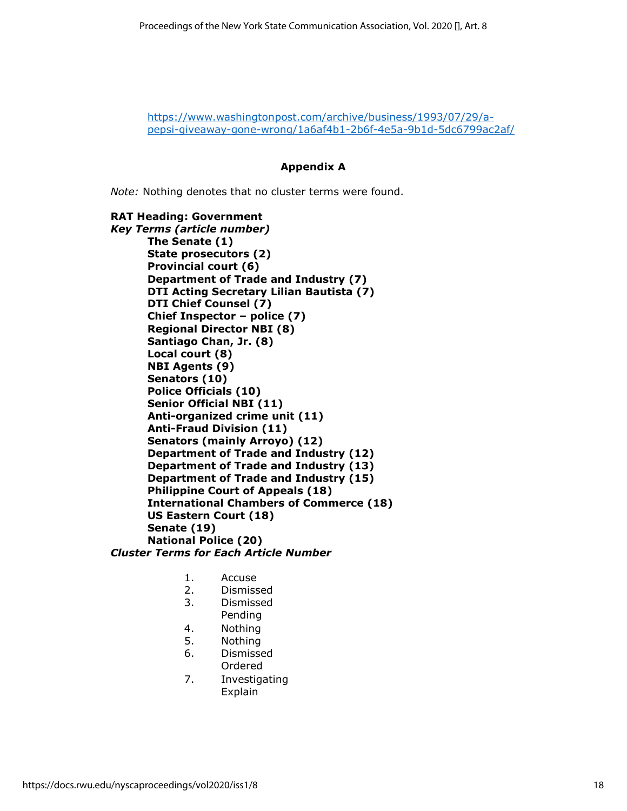[https://www.washingtonpost.com/archive/business/1993/07/29/a](https://www.washingtonpost.com/archive/business/1993/07/29/a-pepsi-giveaway-gone-wrong/1a6af4b1-2b6f-4e5a-9b1d-5dc6799ac2af/)[pepsi-giveaway-gone-wrong/1a6af4b1-2b6f-4e5a-9b1d-5dc6799ac2af/](https://www.washingtonpost.com/archive/business/1993/07/29/a-pepsi-giveaway-gone-wrong/1a6af4b1-2b6f-4e5a-9b1d-5dc6799ac2af/)

#### **Appendix A**

*Note:* Nothing denotes that no cluster terms were found.

**RAT Heading: Government**  *Key Terms (article number)* **The Senate (1) State prosecutors (2) Provincial court (6) Department of Trade and Industry (7) DTI Acting Secretary Lilian Bautista (7) DTI Chief Counsel (7) Chief Inspector – police (7) Regional Director NBI (8) Santiago Chan, Jr. (8) Local court (8) NBI Agents (9) Senators (10) Police Officials (10) Senior Official NBI (11) Anti-organized crime unit (11) Anti-Fraud Division (11) Senators (mainly Arroyo) (12) Department of Trade and Industry (12) Department of Trade and Industry (13) Department of Trade and Industry (15) Philippine Court of Appeals (18) International Chambers of Commerce (18) US Eastern Court (18) Senate (19) National Police (20)** *Cluster Terms for Each Article Number*

- 1. Accuse
- 2. Dismissed
- 3. Dismissed
- Pending
- 4. Nothing
- 5. Nothing
- 6. Dismissed Ordered
- 7. Investigating Explain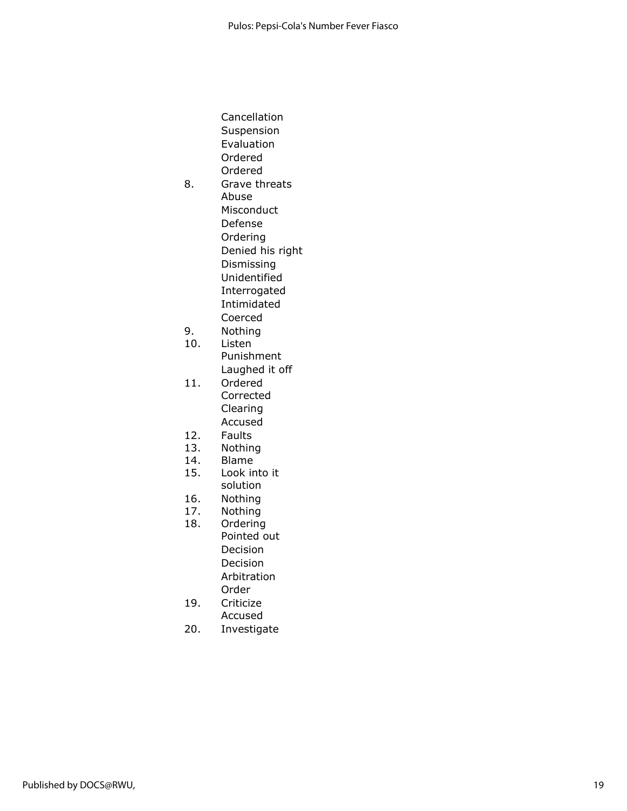Cancellation Suspension Evaluation Ordered Ordered 8. Grave threats Abuse Misconduct Defense Ordering Denied his right Dismissing Unidentified Interrogated Intimidated Coerced 9. Nothing 10. Listen Punishment Laughed it off

- 11. Ordered Corrected Clearing Accused
- 12. Faults
- 13. Nothing
- 14. Blame
- 15. Look into it
- solution
- 16. Nothing 17. Nothing
- 18. Ordering
	- Pointed out Decision Decision Arbitration Order
- 19. Criticize
	- Accused
- 20. Investigate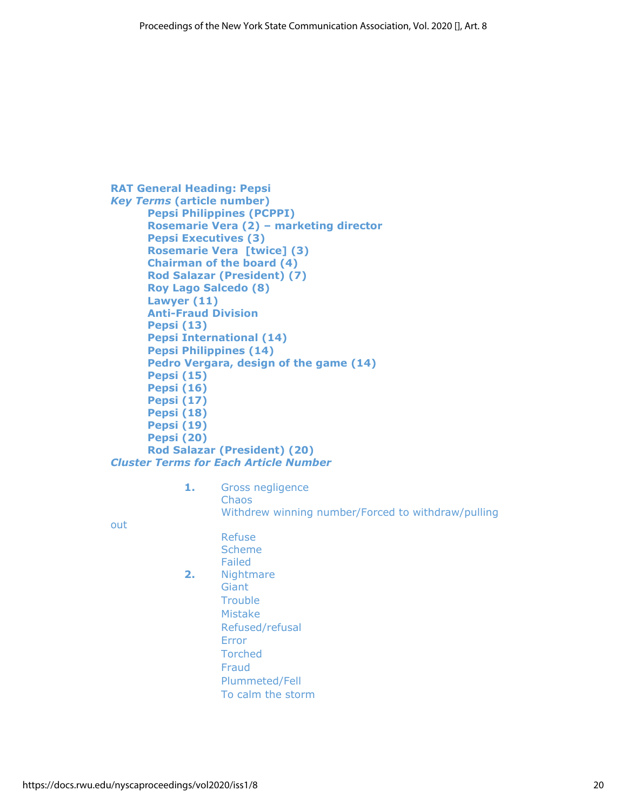```
RAT General Heading: Pepsi
Key Terms (article number)
      Pepsi Philippines (PCPPI)
      Rosemarie Vera (2) – marketing director
      Pepsi Executives (3)
      Rosemarie Vera [twice] (3)
      Chairman of the board (4)
      Rod Salazar (President) (7)
      Roy Lago Salcedo (8)
      Lawyer (11)
      Anti-Fraud Division
      Pepsi (13)
      Pepsi International (14)
      Pepsi Philippines (14) 
      Pedro Vergara, design of the game (14)
      Pepsi (15)
      Pepsi (16)
      Pepsi (17)
      Pepsi (18)
      Pepsi (19)
      Pepsi (20)
      Rod Salazar (President) (20)
Cluster Terms for Each Article Number
```
**1.** Gross negligence **Chaos** Withdrew winning number/Forced to withdraw/pulling

out

- Refuse Scheme Failed **2.** Nightmare **Giant Trouble** Mistake Refused/refusal Error Torched Fraud Plummeted/Fell
	- To calm the storm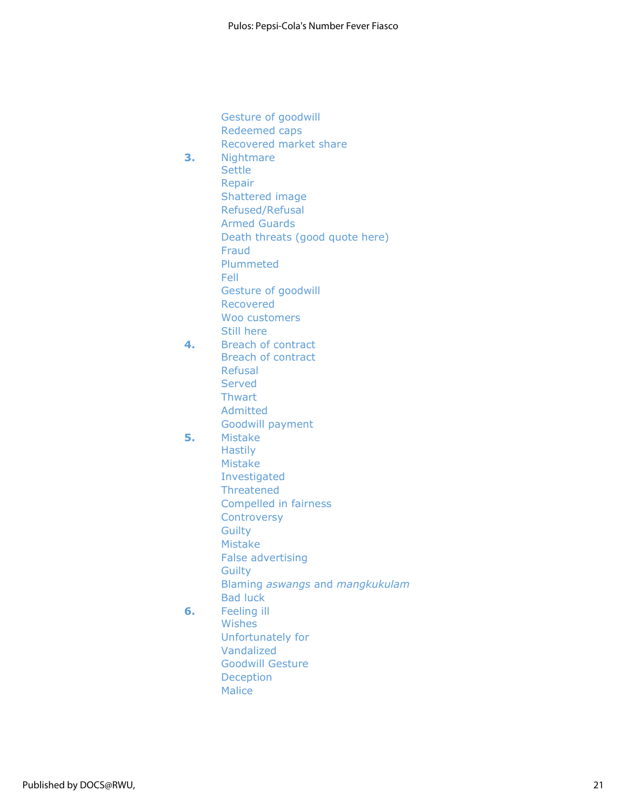Gesture of goodwill Redeemed caps Recovered market share **3.** Nightmare **Settle** Repair Shattered image Refused/Refusal Armed Guards Death threats (good quote here) Fraud Plummeted Fell Gesture of goodwill Recovered Woo customers Still here **4.** Breach of contract Breach of contract Refusal Served **Thwart** Admitted Goodwill payment **5.** Mistake **Hastily** Mistake Investigated **Threatened** Compelled in fairness **Controversy Guilty** Mistake False advertising **Guilty** Blaming *aswangs* and *mangkukulam* Bad luck **6.** Feeling ill Wishes Unfortunately for Vandalized Goodwill Gesture

> Deception **Malice**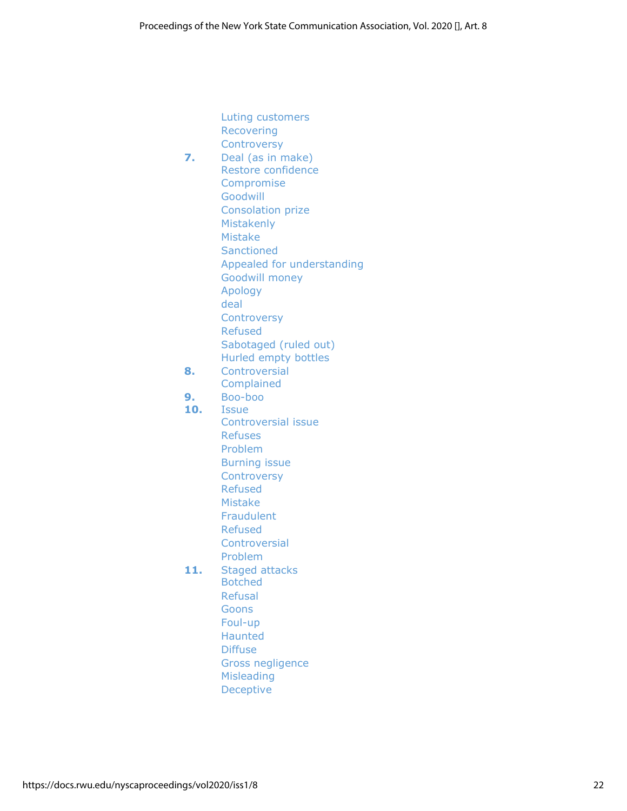Luting customers Recovering **Controversy 7.** Deal (as in make) Restore confidence Compromise Goodwill Consolation prize Mistakenly Mistake **Sanctioned** Appealed for understanding Goodwill money Apology deal **Controversy** Refused Sabotaged (ruled out) Hurled empty bottles **8.** Controversial Complained **9.** Boo-boo **10.** Issue Controversial issue Refuses Problem Burning issue **Controversy** Refused Mistake Fraudulent Refused **Controversial** Problem **11.** Staged attacks Botched Refusal **Goons** Foul-up Haunted **Diffuse** Gross negligence Misleading Deceptive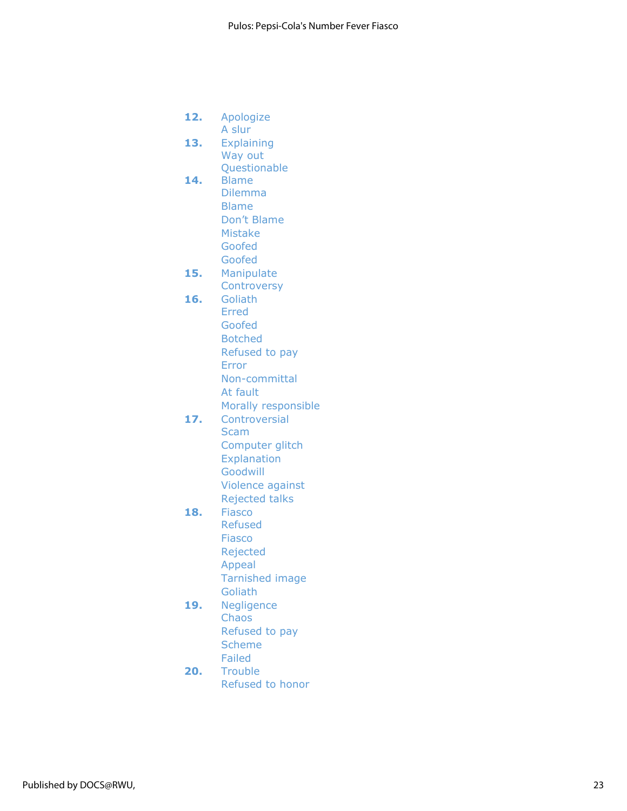**12.** Apologize A slur **13.** Explaining Way out Questionable **14.** Blame Dilemma Blame Don't Blame Mistake Goofed Goofed **15.** Manipulate **Controversy 16.** Goliath Erred Goofed Botched Refused to pay Error Non-committal At fault Morally responsible **17.** Controversial Scam Computer glitch **Explanation** Goodwill Violence against Rejected talks **18.** Fiasco Refused Fiasco Rejected Appeal Tarnished image **Goliath 19.** Negligence Chaos Refused to pay Scheme

Failed **20.** Trouble Refused to honor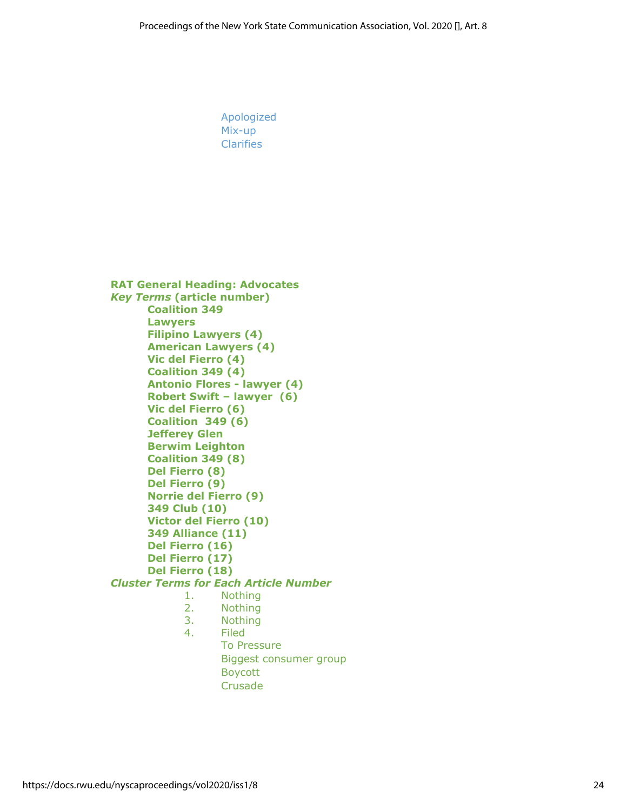Apologized Mix-up **Clarifies RAT General Heading: Advocates** *Key Terms* **(article number) Coalition 349 Lawyers Filipino Lawyers (4) American Lawyers (4) Vic del Fierro (4) Coalition 349 (4) Antonio Flores - lawyer (4) Robert Swift – lawyer (6) Vic del Fierro (6) Coalition 349 (6) Jefferey Glen Berwim Leighton Coalition 349 (8) Del Fierro (8) Del Fierro (9) Norrie del Fierro (9) 349 Club (10) Victor del Fierro (10) 349 Alliance (11) Del Fierro (16) Del Fierro (17) Del Fierro (18)** *Cluster Terms for Each Article Number* 1. Nothing 2. Nothing 3. Nothing 4. Filed To Pressure Biggest consumer group Boycott

Crusade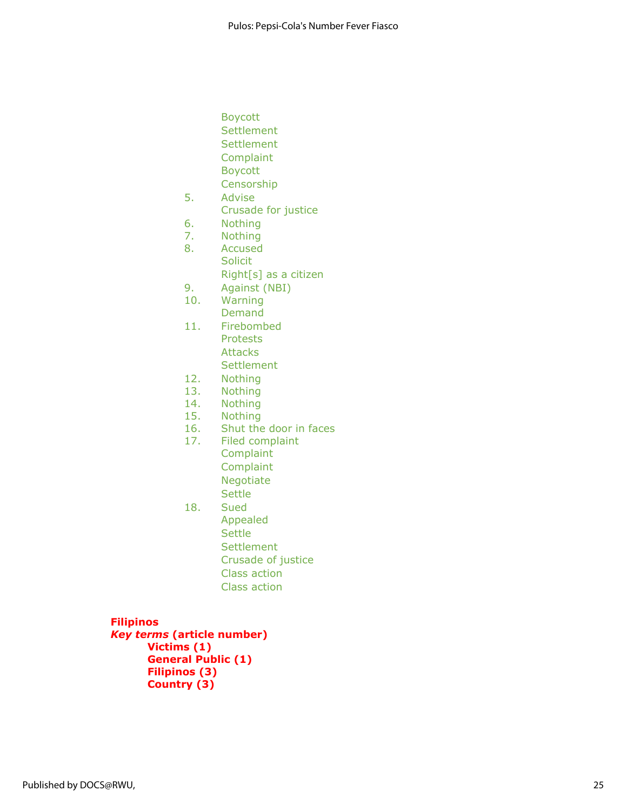- Boycott **Settlement**
- **Settlement Complaint**
- Boycott
- Censorship
- 5. Advise
	- Crusade for justice
- 6. Nothing
- 7. Nothing
- 8. Accused Solicit
	- Right[s] as a citizen
- 9. Against (NBI)
- 10. Warning Demand
- 11. Firebombed Protests
	- **Attacks Settlement**
- 12. Nothing
- 13. Nothing
- 14. Nothing
- 15. Nothing
- 16. Shut the door in faces
- 17. Filed complaint **Complaint Complaint** Negotiate **Settle**
- 18. Sued Appealed **Settle Settlement** Crusade of justice Class action
	- Class action

# **Filipinos**

*Key terms* **(article number) Victims (1) General Public (1) Filipinos (3) Country (3)**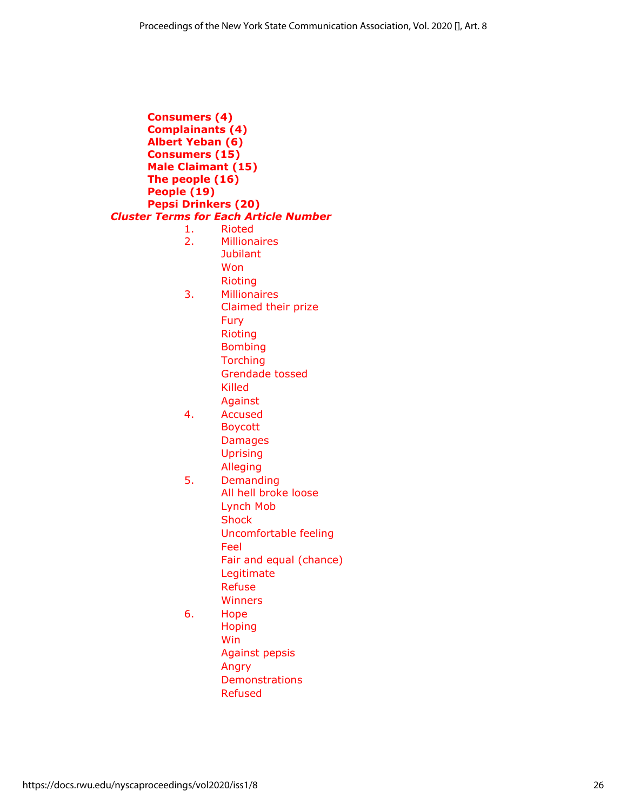**Consumers (4) Complainants (4) Albert Yeban (6) Consumers (15) Male Claimant (15) The people (16) People (19) Pepsi Drinkers (20)** *Cluster Terms for Each Article Number* 1. Rioted 2. Millionaires **Jubilant** Won Rioting 3. Millionaires Claimed their prize Fury Rioting Bombing **Torching** Grendade tossed Killed Against 4. Accused Boycott Damages Uprising Alleging 5. Demanding All hell broke loose Lynch Mob **Shock** Uncomfortable feeling Feel Fair and equal (chance) Legitimate Refuse **Winners** 6. Hope Hoping Win Against pepsis Angry Demonstrations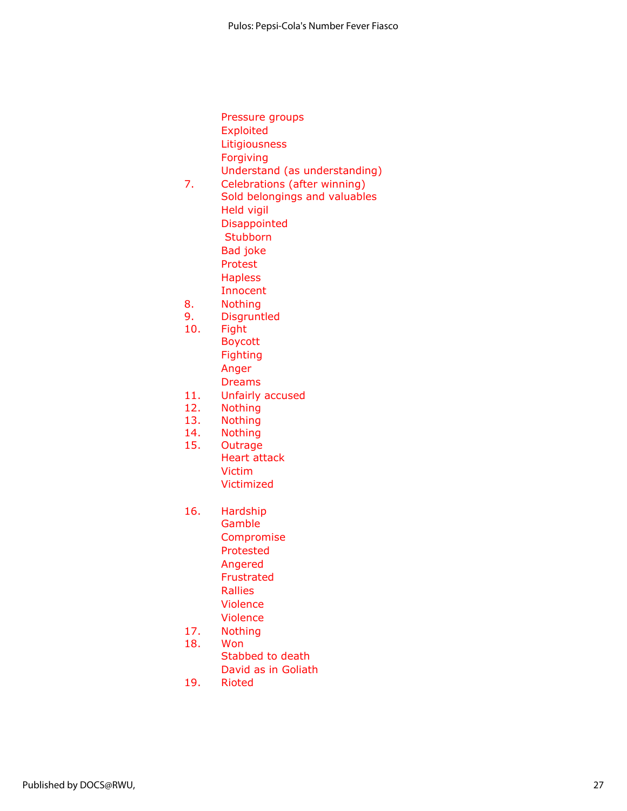|     | Pressure groups               |
|-----|-------------------------------|
|     | <b>Exploited</b>              |
|     | Litigiousness                 |
|     | Forgiving                     |
|     | Understand (as understanding) |
| 7.  | Celebrations (after winning)  |
|     | Sold belongings and valuables |
|     | Held vigil                    |
|     | <b>Disappointed</b>           |
|     | Stubborn                      |
|     | Bad joke                      |
|     | Protest                       |
|     | <b>Hapless</b>                |
|     | Innocent                      |
| 8.  | <b>Nothing</b>                |
| 9.  | <b>Disgruntled</b>            |
| 10. | Fight                         |
|     | Boycott                       |
|     | Fighting                      |
|     | Anger                         |

- Dreams
- 11. Unfairly accused
- 12. Nothing
- 13. Nothing
- 14. Nothing
- 15. Outrage Heart attack Victim Victimized
- 16. Hardship Gamble Compromise Protested Angered Frustrated Rallies Violence Violence
- 17. Nothing
- 18. Won
	- Stabbed to death David as in Goliath
- 19. Rioted